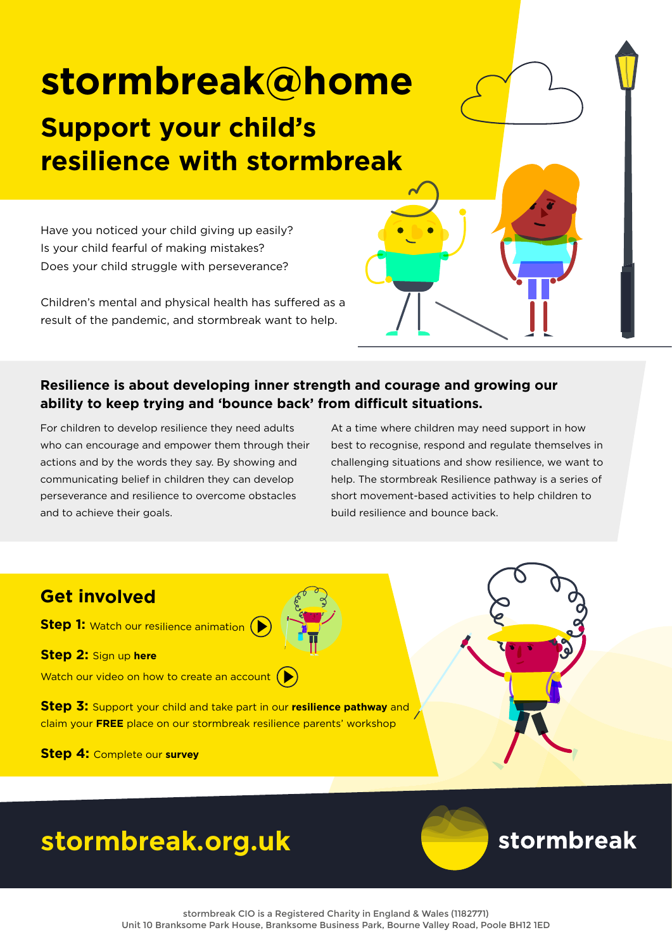# **stormbreak@home**

### **Support your child's resilience with stormbreak**

Have you noticed your child giving up easily? Is your child fearful of making mistakes? Does your child struggle with perseverance?

Children's mental and physical health has suffered as a result of the pandemic, and stormbreak want to help.

#### **Resilience is about developing inner strength and courage and growing our ability to keep trying and 'bounce back' from difficult situations.**

For children to develop resilience they need adults who can encourage and empower them through their actions and by the words they say. By showing and communicating belief in children they can develop perseverance and resilience to overcome obstacles and to achieve their goals.

At a time where children may need support in how best to recognise, respond and regulate themselves in challenging situations and show resilience, we want to help. The stormbreak Resilience pathway is a series of short movement-based activities to help children to build resilience and bounce back.

#### **Get involved**

**Step 1:** [Watch our resilience animation](https://www.stormbreak.org.uk/videos/animations/p-1049) (

**[Step 2:](https://www.stormbreak.org.uk/login)** Sign up **here**

[Watch our video on how to create an account](https://www.stormbreak.org.uk/videos/explainers/kb_stormbreak-home-how-to-for-parents) (

**Step 3:** Support your child and take part in our **resilience pathway** and claim your **FREE** place on our stormbreak resilience parents' workshop

**Step 4:** [Complete our](https://docs.google.com/forms/d/e/1FAIpQLSfMbaQyMJMui7zG_yPYi2-39Dw1jBXI_8zBz4VEQbLiTdjYgA/viewform) **survey**



## **[stormbreak.org.uk](http://www.stormbreak.org.uk)**